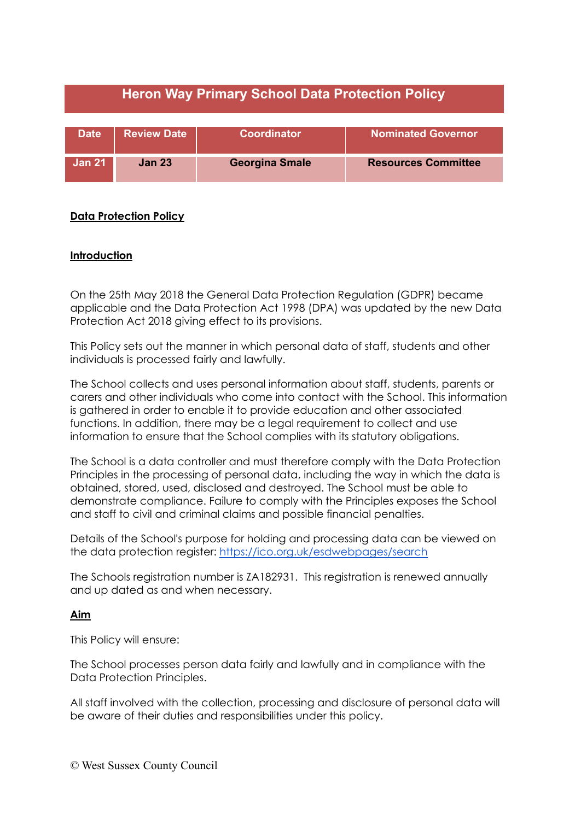| <b>Heron Way Primary School Data Protection Policy</b> |                    |                       |                            |
|--------------------------------------------------------|--------------------|-----------------------|----------------------------|
| <b>Date</b>                                            | <b>Review Date</b> | Coordinator           | <b>Nominated Governor</b>  |
| <b>Jan 21</b>                                          | <b>Jan 23</b>      | <b>Georgina Smale</b> | <b>Resources Committee</b> |

# **Data Protection Policy**

## **Introduction**

On the 25th May 2018 the General Data Protection Regulation (GDPR) became applicable and the Data Protection Act 1998 (DPA) was updated by the new Data Protection Act 2018 giving effect to its provisions.

This Policy sets out the manner in which personal data of staff, students and other individuals is processed fairly and lawfully.

The School collects and uses personal information about staff, students, parents or carers and other individuals who come into contact with the School. This information is gathered in order to enable it to provide education and other associated functions. In addition, there may be a legal requirement to collect and use information to ensure that the School complies with its statutory obligations.

The School is a data controller and must therefore comply with the Data Protection Principles in the processing of personal data, including the way in which the data is obtained, stored, used, disclosed and destroyed. The School must be able to demonstrate compliance. Failure to comply with the Principles exposes the School and staff to civil and criminal claims and possible financial penalties.

Details of the School's purpose for holding and processing data can be viewed on the data protection register: <https://ico.org.uk/esdwebpages/search>

The Schools registration number is ZA182931. This registration is renewed annually and up dated as and when necessary.

### **Aim**

This Policy will ensure:

The School processes person data fairly and lawfully and in compliance with the Data Protection Principles.

All staff involved with the collection, processing and disclosure of personal data will be aware of their duties and responsibilities under this policy.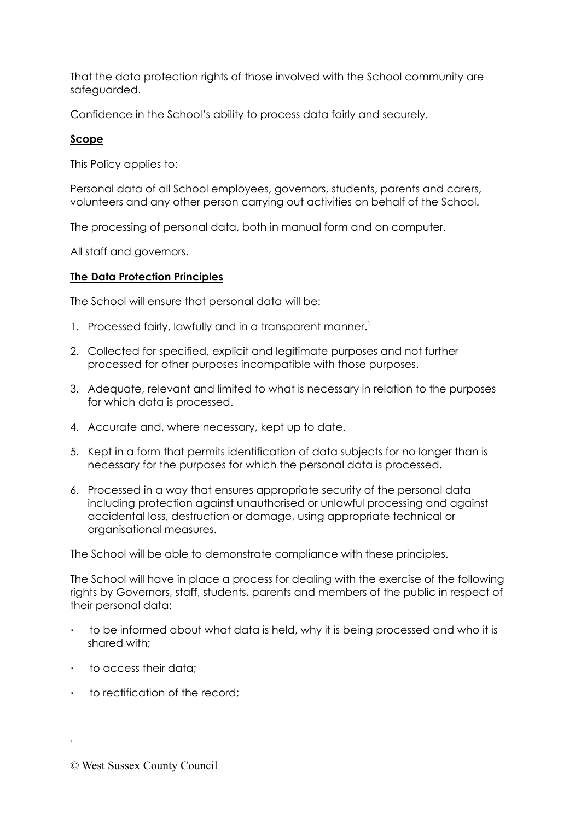That the data protection rights of those involved with the School community are safeguarded.

Confidence in the School's ability to process data fairly and securely.

# **Scope**

This Policy applies to:

Personal data of all School employees, governors, students, parents and carers, volunteers and any other person carrying out activities on behalf of the School.

The processing of personal data, both in manual form and on computer.

All staff and governors.

## **The Data Protection Principles**

The School will ensure that personal data will be:

- 1. Processed fairly, lawfully and in a transparent manner.<sup>1</sup>
- 2. Collected for specified, explicit and legitimate purposes and not further processed for other purposes incompatible with those purposes.
- 3. Adequate, relevant and limited to what is necessary in relation to the purposes for which data is processed.
- 4. Accurate and, where necessary, kept up to date.
- 5. Kept in a form that permits identification of data subjects for no longer than is necessary for the purposes for which the personal data is processed.
- 6. Processed in a way that ensures appropriate security of the personal data including protection against unauthorised or unlawful processing and against accidental loss, destruction or damage, using appropriate technical or organisational measures.

The School will be able to demonstrate compliance with these principles.

The School will have in place a process for dealing with the exercise of the following rights by Governors, staff, students, parents and members of the public in respect of their personal data:

- · to be informed about what data is held, why it is being processed and who it is shared with;
- · to access their data;
- · to rectification of the record;

1

<sup>©</sup> West Sussex County Council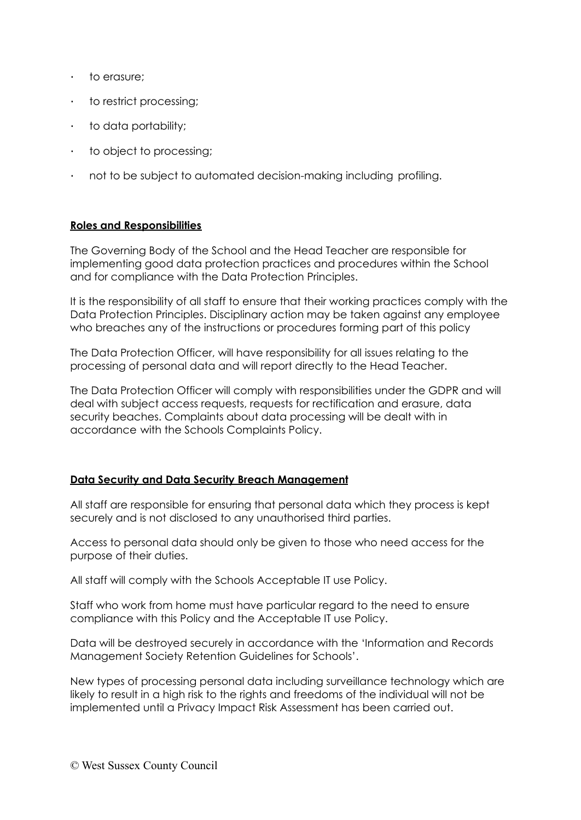- · to erasure;
- · to restrict processing;
- · to data portability;
- · to object to processing;
- · not to be subject to automated decision-making including profiling.

## **Roles and Responsibilities**

The Governing Body of the School and the Head Teacher are responsible for implementing good data protection practices and procedures within the School and for compliance with the Data Protection Principles.

It is the responsibility of all staff to ensure that their working practices comply with the Data Protection Principles. Disciplinary action may be taken against any employee who breaches any of the instructions or procedures forming part of this policy

The Data Protection Officer, will have responsibility for all issues relating to the processing of personal data and will report directly to the Head Teacher.

The Data Protection Officer will comply with responsibilities under the GDPR and will deal with subject access requests, requests for rectification and erasure, data security beaches. Complaints about data processing will be dealt with in accordance with the Schools Complaints Policy.

### **Data Security and Data Security Breach Management**

All staff are responsible for ensuring that personal data which they process is kept securely and is not disclosed to any unauthorised third parties.

Access to personal data should only be given to those who need access for the purpose of their duties.

All staff will comply with the Schools Acceptable IT use Policy.

Staff who work from home must have particular regard to the need to ensure compliance with this Policy and the Acceptable IT use Policy.

Data will be destroyed securely in accordance with the 'Information and Records Management Society Retention Guidelines for Schools'.

New types of processing personal data including surveillance technology which are likely to result in a high risk to the rights and freedoms of the individual will not be implemented until a Privacy Impact Risk Assessment has been carried out.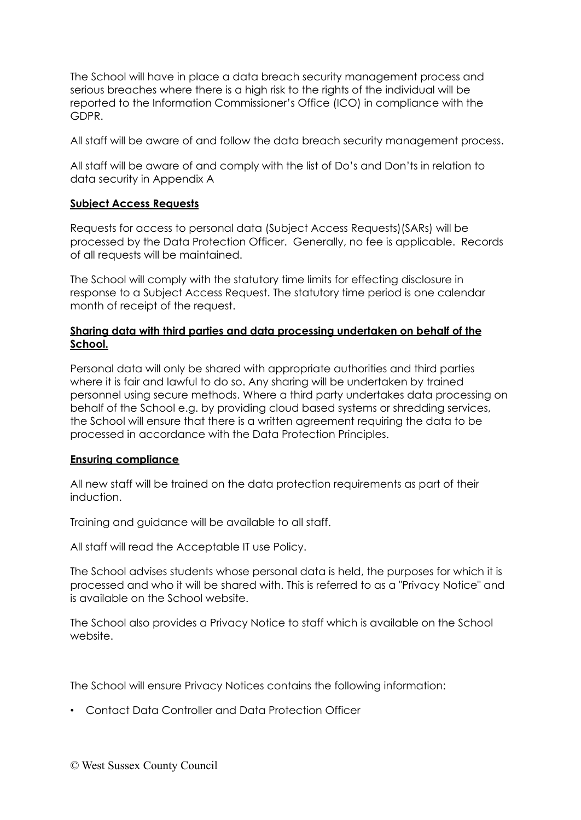The School will have in place a data breach security management process and serious breaches where there is a high risk to the rights of the individual will be reported to the Information Commissioner's Office (ICO) in compliance with the GDPR.

All staff will be aware of and follow the data breach security management process.

All staff will be aware of and comply with the list of Do's and Don'ts in relation to data security in Appendix A

## **Subject Access Requests**

Requests for access to personal data (Subject Access Requests)(SARs) will be processed by the Data Protection Officer. Generally, no fee is applicable. Records of all requests will be maintained.

The School will comply with the statutory time limits for effecting disclosure in response to a Subject Access Request. The statutory time period is one calendar month of receipt of the request.

## **Sharing data with third parties and data processing undertaken on behalf of the School.**

Personal data will only be shared with appropriate authorities and third parties where it is fair and lawful to do so. Any sharing will be undertaken by trained personnel using secure methods. Where a third party undertakes data processing on behalf of the School e.g. by providing cloud based systems or shredding services, the School will ensure that there is a written agreement requiring the data to be processed in accordance with the Data Protection Principles.

### **Ensuring compliance**

All new staff will be trained on the data protection requirements as part of their induction.

Training and guidance will be available to all staff.

All staff will read the Acceptable IT use Policy.

The School advises students whose personal data is held, the purposes for which it is processed and who it will be shared with. This is referred to as a "Privacy Notice" and is available on the School website.

The School also provides a Privacy Notice to staff which is available on the School website.

The School will ensure Privacy Notices contains the following information:

• Contact Data Controller and Data Protection Officer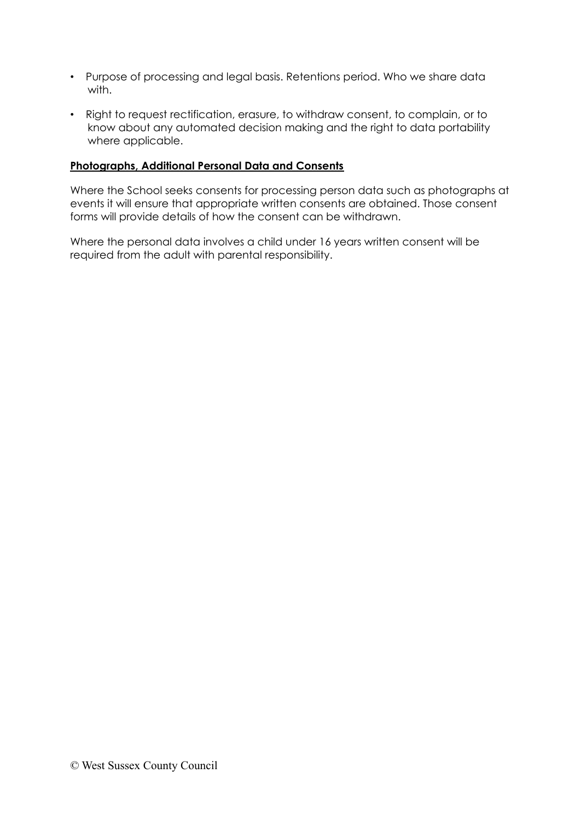- Purpose of processing and legal basis. Retentions period. Who we share data with.
- Right to request rectification, erasure, to withdraw consent, to complain, or to know about any automated decision making and the right to data portability where applicable.

## **Photographs, Additional Personal Data and Consents**

Where the School seeks consents for processing person data such as photographs at events it will ensure that appropriate written consents are obtained. Those consent forms will provide details of how the consent can be withdrawn.

Where the personal data involves a child under 16 years written consent will be required from the adult with parental responsibility.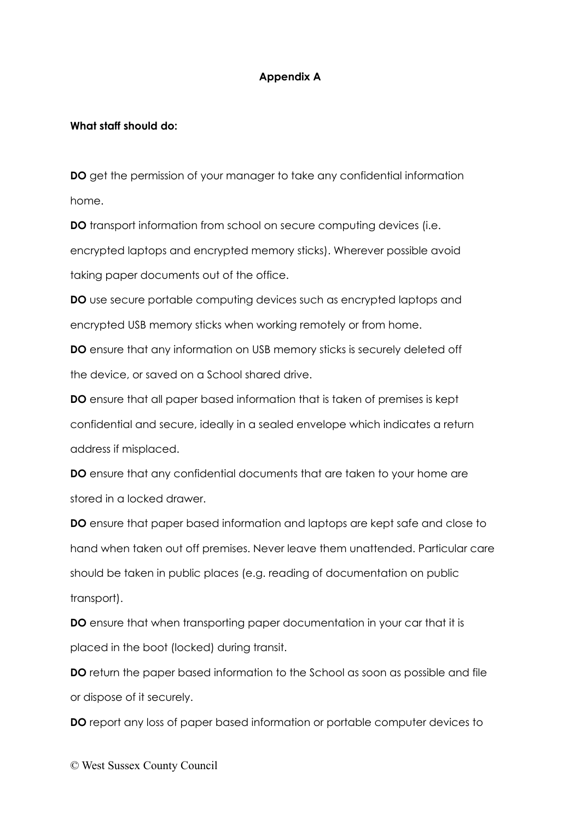## **Appendix A**

#### **What staff should do:**

**DO** get the permission of your manager to take any confidential information home.

**DO** transport information from school on secure computing devices (i.e. encrypted laptops and encrypted memory sticks). Wherever possible avoid taking paper documents out of the office.

**DO** use secure portable computing devices such as encrypted laptops and encrypted USB memory sticks when working remotely or from home.

**DO** ensure that any information on USB memory sticks is securely deleted off the device, or saved on a School shared drive.

**DO** ensure that all paper based information that is taken of premises is kept confidential and secure, ideally in a sealed envelope which indicates a return address if misplaced.

**DO** ensure that any confidential documents that are taken to your home are stored in a locked drawer.

**DO** ensure that paper based information and laptops are kept safe and close to hand when taken out off premises. Never leave them unattended. Particular care should be taken in public places (e.g. reading of documentation on public transport).

**DO** ensure that when transporting paper documentation in your car that it is placed in the boot (locked) during transit.

**DO** return the paper based information to the School as soon as possible and file or dispose of it securely.

**DO** report any loss of paper based information or portable computer devices to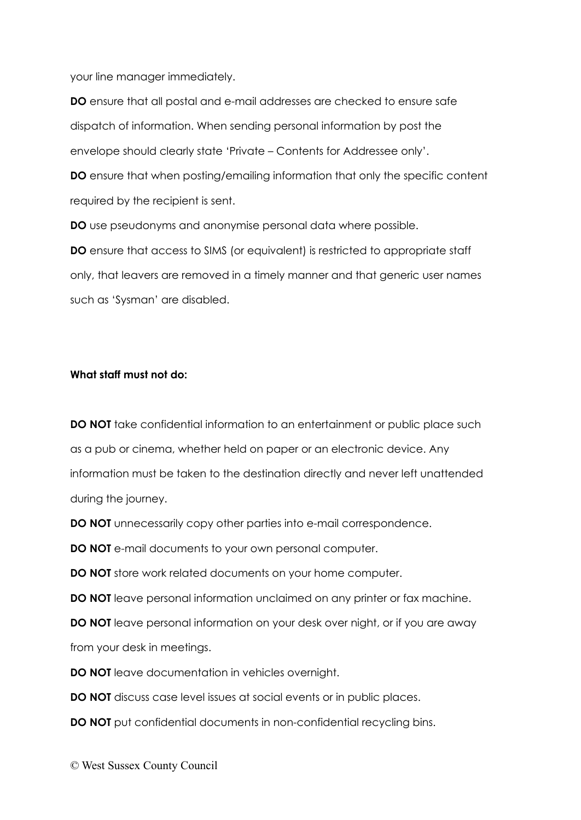your line manager immediately.

**DO** ensure that all postal and e-mail addresses are checked to ensure safe dispatch of information. When sending personal information by post the envelope should clearly state 'Private – Contents for Addressee only'.

**DO** ensure that when posting/emailing information that only the specific content required by the recipient is sent.

**DO** use pseudonyms and anonymise personal data where possible.

**DO** ensure that access to SIMS (or equivalent) is restricted to appropriate staff only, that leavers are removed in a timely manner and that generic user names such as 'Sysman' are disabled.

### **What staff must not do:**

**DO NOT** take confidential information to an entertainment or public place such as a pub or cinema, whether held on paper or an electronic device. Any information must be taken to the destination directly and never left unattended during the journey.

**DO NOT** unnecessarily copy other parties into e-mail correspondence.

**DO NOT** e-mail documents to your own personal computer.

**DO NOT** store work related documents on your home computer.

**DO NOT** leave personal information unclaimed on any printer or fax machine.

**DO NOT** leave personal information on your desk over night, or if you are away from your desk in meetings.

**DO NOT** leave documentation in vehicles overnight.

**DO NOT** discuss case level issues at social events or in public places.

**DO NOT** put confidential documents in non-confidential recycling bins.

© West Sussex County Council